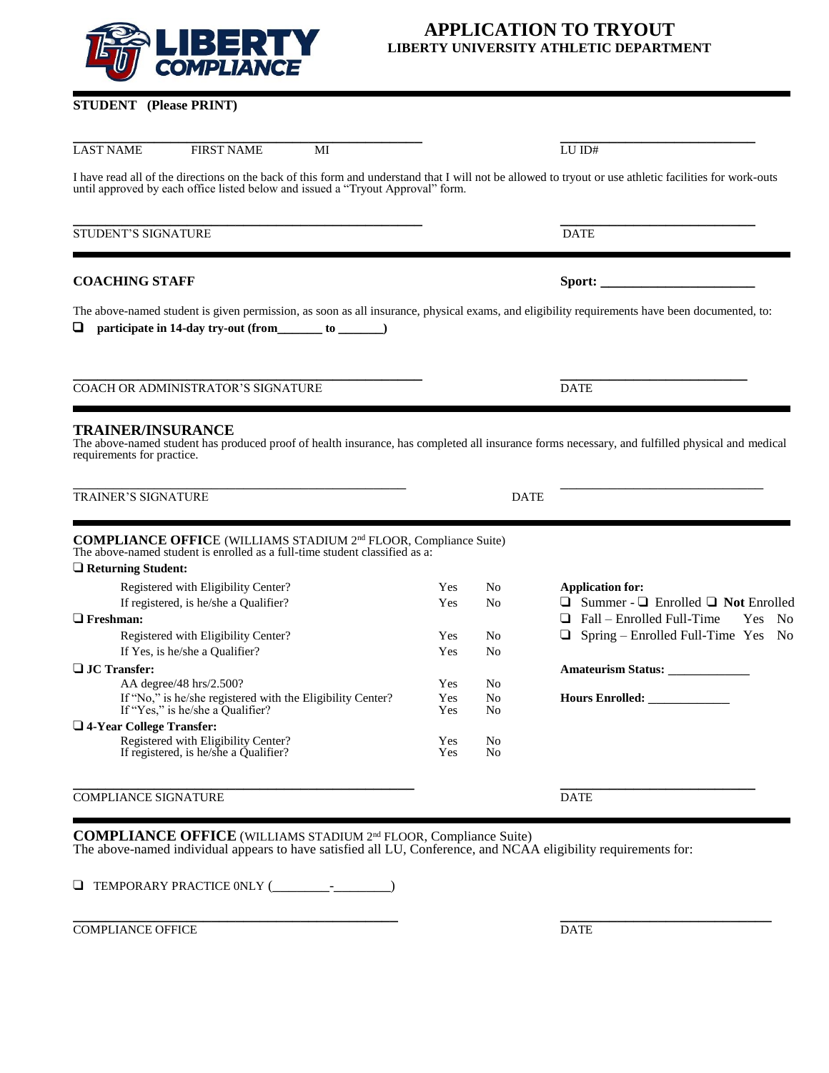

| <b>STUDENT</b> (Please PRINT) |  |  |
|-------------------------------|--|--|
|                               |  |  |

| <b>LAST NAME</b><br><b>FIRST NAME</b><br>MI                                                                                                                                                                                                |            |                | $LU$ $ID#$                                          |
|--------------------------------------------------------------------------------------------------------------------------------------------------------------------------------------------------------------------------------------------|------------|----------------|-----------------------------------------------------|
| I have read all of the directions on the back of this form and understand that I will not be allowed to tryout or use athletic facilities for work-outs<br>until approved by each office listed below and issued a "Tryout Approval" form. |            |                |                                                     |
| <b>STUDENT'S SIGNATURE</b>                                                                                                                                                                                                                 |            |                | <b>DATE</b>                                         |
| <b>COACHING STAFF</b>                                                                                                                                                                                                                      |            |                |                                                     |
| The above-named student is given permission, as soon as all insurance, physical exams, and eligibility requirements have been documented, to:<br>participate in 14-day try-out (from ________ to _______)                                  |            |                |                                                     |
| <b>COACH OR ADMINISTRATOR'S SIGNATURE</b>                                                                                                                                                                                                  |            |                | <b>DATE</b>                                         |
| <b>TRAINER/INSURANCE</b><br>The above-named student has produced proof of health insurance, has completed all insurance forms necessary, and fulfilled physical and medical<br>requirements for practice.                                  |            |                |                                                     |
| <b>TRAINER'S SIGNATURE</b>                                                                                                                                                                                                                 |            | <b>DATE</b>    |                                                     |
| <b>COMPLIANCE OFFICE</b> (WILLIAMS STADIUM 2 <sup>nd</sup> FLOOR, Compliance Suite)<br>The above-named student is enrolled as a full-time student classified as a:<br>$\Box$ Returning Student:                                            |            |                |                                                     |
| Registered with Eligibility Center?                                                                                                                                                                                                        | Yes        | N <sub>0</sub> | <b>Application for:</b>                             |
| If registered, is he/she a Qualifier?                                                                                                                                                                                                      | Yes        | N <sub>0</sub> | $\Box$ Summer - $\Box$ Enrolled $\Box$ Not Enrolled |
| $\Box$ Freshman:                                                                                                                                                                                                                           |            |                | $\Box$ Fall – Enrolled Full-Time<br>Yes No          |
| Registered with Eligibility Center?                                                                                                                                                                                                        | Yes        | No             | $\Box$ Spring – Enrolled Full-Time Yes No           |
| If Yes, is he/she a Qualifier?                                                                                                                                                                                                             | Yes        | N <sub>0</sub> |                                                     |
| □ JC Transfer:                                                                                                                                                                                                                             |            |                | <b>Amateurism Status:</b>                           |
| AA degree/48 hrs/2.500?                                                                                                                                                                                                                    | Yes        | No             |                                                     |
| If "No," is he/she registered with the Eligibility Center?<br>If "Yes," is he/she a Qualifier?                                                                                                                                             | Yes<br>Yes | N <sub>0</sub> |                                                     |
|                                                                                                                                                                                                                                            |            | No             |                                                     |
| $\Box$ 4-Year College Transfer:<br>Registered with Eligibility Center?                                                                                                                                                                     | Yes        | No             |                                                     |
| If registered, is he/she a Qualifier?                                                                                                                                                                                                      | Yes        | No             |                                                     |
| <b>COMPLIANCE SIGNATURE</b>                                                                                                                                                                                                                |            |                | <b>DATE</b>                                         |
| <b>COMPLIANCE OFFICE</b> (WILLIAMS STADIUM 2 <sup>nd</sup> FLOOR, Compliance Suite)                                                                                                                                                        |            |                |                                                     |
| The above-named individual appears to have satisfied all LU, Conference, and NCAA eligibility requirements for:                                                                                                                            |            |                |                                                     |

❑ TEMPORARY PRACTICE 0NLY (\_\_\_\_\_\_\_-\_\_\_\_\_\_\_)

**\_\_\_\_\_\_\_\_\_\_\_\_\_\_\_\_\_\_\_\_\_\_\_\_\_\_\_\_\_\_\_\_\_\_\_\_\_\_\_\_ \_\_\_\_\_\_\_\_\_\_\_\_\_\_\_\_\_\_\_\_\_\_\_\_\_\_ COMPLIANCE OFFICE** DATE